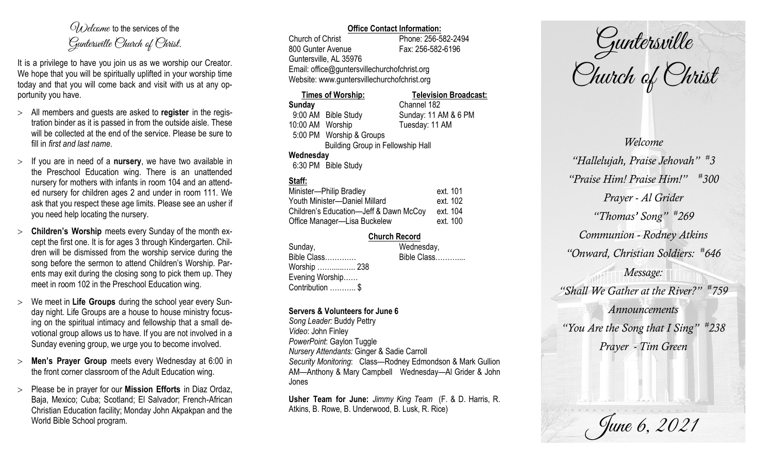$O(\lambda)$  elcome to the services of the Guntersville Church of Christ.

It is a privilege to have you join us as we worship our Creator. We hope that you will be spiritually uplifted in your worship time today and that you will come back and visit with us at any opportunity you have.

- All members and guests are asked to **register** in the registration binder as it is passed in from the outside aisle. These will be collected at the end of the service. Please be sure to fill in *first and last name*.
- $>$  If you are in need of a **nursery**, we have two available in the Preschool Education wing. There is an unattended nursery for mothers with infants in room 104 and an attended nursery for children ages 2 and under in room 111. We ask that you respect these age limits. Please see an usher if you need help locating the nursery.
- **Children's Worship** meets every Sunday of the month except the first one. It is for ages 3 through Kindergarten. Children will be dismissed from the worship service during the song before the sermon to attend Children's Worship. Parents may exit during the closing song to pick them up. They meet in room 102 in the Preschool Education wing.
- We meet in **Life Groups** during the school year every Sunday night. Life Groups are a house to house ministry focusing on the spiritual intimacy and fellowship that a small devotional group allows us to have. If you are not involved in a Sunday evening group, we urge you to become involved.
- **Men's Prayer Group** meets every Wednesday at 6:00 in the front corner classroom of the Adult Education wing.
- Please be in prayer for our **Mission Efforts** in Diaz Ordaz, Baja, Mexico; Cuba; Scotland; El Salvador; French-African Christian Education facility; Monday John Akpakpan and the World Bible School program.

### **Office Contact Information:**

Church of Christ Phone: 256-582-2494 800 Gunter Avenue Fax: 256-582-6196 Guntersville, AL 35976 Email: office@guntersvillechurchofchrist.org Website: www.guntersvillechurchofchrist.org

| <b>Times of Worship:</b> |                                          | <b>Television Broadcast:</b> |
|--------------------------|------------------------------------------|------------------------------|
| Sunday                   |                                          | Channel 182                  |
| 9:00 AM Bible Study      |                                          | Sunday: 11 AM & 6 PM         |
| 10:00 AM Worship         |                                          | Tuesday: 11 AM               |
| 5:00 PM Worship & Groups |                                          |                              |
|                          | <b>Building Group in Fellowship Hall</b> |                              |
| Wednesday                |                                          |                              |

6:30 PM Bible Study

# **Staff:**

| Minister-Philip Bradley                | ext. 101 |
|----------------------------------------|----------|
| Youth Minister-Daniel Millard          | ext. 102 |
| Children's Education-Jeff & Dawn McCoy | ext. 104 |
| Office Manager-Lisa Buckelew           | ext. 100 |

#### **Church Record**

| Sunday,              | Wednesday,  |
|----------------------|-------------|
| Bible Class          | Bible Class |
| Worship  238         |             |
| Evening Worship      |             |
| Contribution ………… \$ |             |

### **Servers & Volunteers for June 6**

*Song Leader:* Buddy Pettry *Video*: John Finley *PowerPoint*: Gaylon Tuggle *Nursery Attendants:* Ginger & Sadie Carroll *Security Monitoring*: Class—Rodney Edmondson & Mark Gullion AM—Anthony & Mary Campbell Wednesday—Al Grider & John Jones

**Usher Team for June:** *Jimmy King Team* (F. & D. Harris, R. Atkins, B. Rowe, B. Underwood, B. Lusk, R. Rice)

Guntersville Church of Christ

*Welcome "Hallelujah, Praise Jehovah" # 3 "Praise Him! Praise Him!" # 300 Prayer - Al Grider "Thomas' Song" # 269 Communion - Rodney Atkins "Onward, Christian Soldiers: # 646 Message: "Shall We Gather at the River?" # 759 Announcements "You Are the Song that I Sing" # 238 Prayer - Tim Green*

June 6, 2021